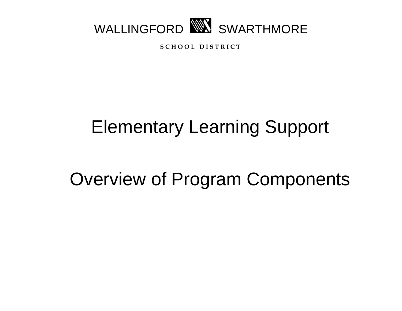

**S C H O O L D I S T R I C T**

# Elementary Learning Support

## Overview of Program Components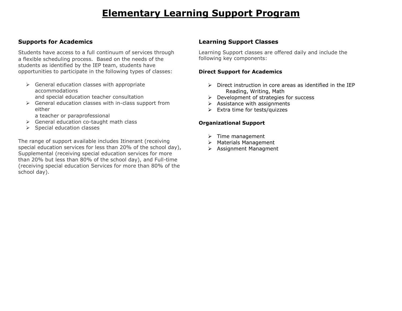## **Elementary Learning Support Program**

#### **Supports for Academics**

Students have access to a full continuum of services through a flexible scheduling process. Based on the needs of the students as identified by the IEP team, students have opportunities to participate in the following types of classes:

- $\triangleright$  General education classes with appropriate accommodations and special education teacher consultation
- $\triangleright$  General education classes with in-class support from either
	- a teacher or paraprofessional
- $\triangleright$  General education co-taught math class
- $\triangleright$  Special education classes

The range of support available includes Itinerant (receiving special education services for less than 20% of the school day), Supplemental (receiving special education services for more than 20% but less than 80% of the school day), and Full-time (receiving special education Services for more than 80% of the school day).

#### **Learning Support Classes**

Learning Support classes are offered daily and include the following key components:

#### **Direct Support for Academics**

- $\triangleright$  Direct instruction in core areas as identified in the IEP Reading, Writing, Math
- $\triangleright$  Development of strategies for success
- $\triangleright$  Assistance with assignments
- $\triangleright$  Extra time for tests/quizzes

#### **Organizational Support**

- $\triangleright$  Time management
- > Materials Management
- Assignment Managment